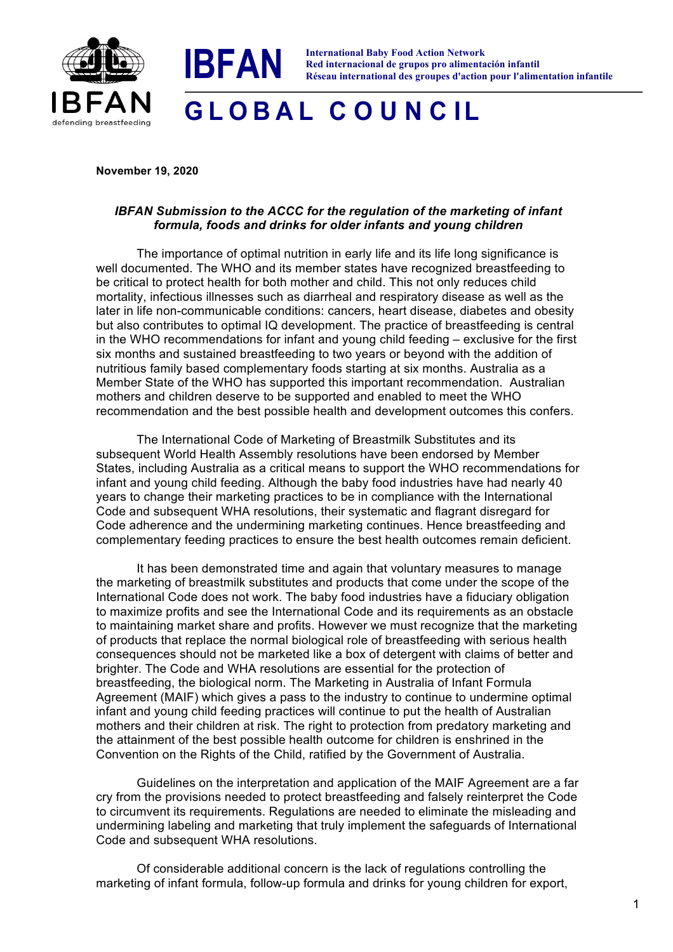



## **G L O B A L C O U N C IL**

## **November 19, 2020**

## *IBFAN Submission to the ACCC for the regulation of the marketing of infant formula, foods and drinks for older infants and young children*

The importance of optimal nutrition in early life and its life long significance is well documented. The WHO and its member states have recognized breastfeeding to be critical to protect health for both mother and child. This not only reduces child mortality, infectious illnesses such as diarrheal and respiratory disease as well as the later in life non-communicable conditions: cancers, heart disease, diabetes and obesity but also contributes to optimal IQ development. The practice of breastfeeding is central in the WHO recommendations for infant and young child feeding – exclusive for the first six months and sustained breastfeeding to two years or beyond with the addition of nutritious family based complementary foods starting at six months. Australia as a Member State of the WHO has supported this important recommendation. Australian mothers and children deserve to be supported and enabled to meet the WHO recommendation and the best possible health and development outcomes this confers.

The International Code of Marketing of Breastmilk Substitutes and its subsequent World Health Assembly resolutions have been endorsed by Member States, including Australia as a critical means to support the WHO recommendations for infant and young child feeding. Although the baby food industries have had nearly 40 years to change their marketing practices to be in compliance with the International Code and subsequent WHA resolutions, their systematic and flagrant disregard for Code adherence and the undermining marketing continues. Hence breastfeeding and complementary feeding practices to ensure the best health outcomes remain deficient.

It has been demonstrated time and again that voluntary measures to manage the marketing of breastmilk substitutes and products that come under the scope of the International Code does not work. The baby food industries have a fiduciary obligation to maximize profits and see the International Code and its requirements as an obstacle to maintaining market share and profits. However we must recognize that the marketing of products that replace the normal biological role of breastfeeding with serious health consequences should not be marketed like a box of detergent with claims of better and brighter. The Code and WHA resolutions are essential for the protection of breastfeeding, the biological norm. The Marketing in Australia of Infant Formula Agreement (MAIF) which gives a pass to the industry to continue to undermine optimal infant and young child feeding practices will continue to put the health of Australian mothers and their children at risk. The right to protection from predatory marketing and the attainment of the best possible health outcome for children is enshrined in the Convention on the Rights of the Child, ratified by the Government of Australia.

Guidelines on the interpretation and application of the MAIF Agreement are a far cry from the provisions needed to protect breastfeeding and falsely reinterpret the Code to circumvent its requirements. Regulations are needed to eliminate the misleading and undermining labeling and marketing that truly implement the safeguards of International Code and subsequent WHA resolutions.

Of considerable additional concern is the lack of regulations controlling the marketing of infant formula, follow-up formula and drinks for young children for export,